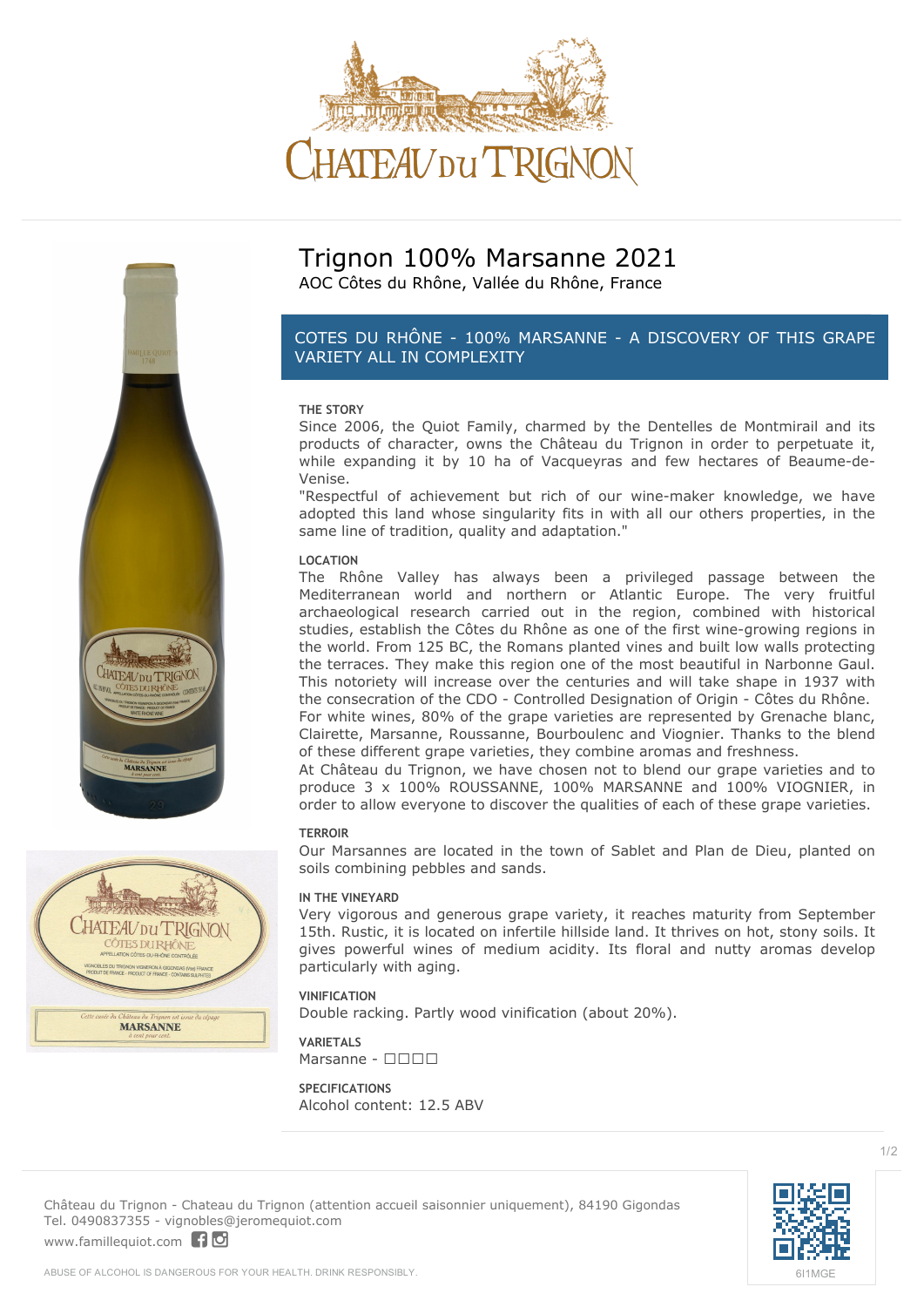





## **Trignon 100% Marsanne 2021**

AOC Côtes du Rhône, Vallée du Rhône, France

### *COTES DU RHÔNE - 100% MARSANNE - A DISCOVERY OF THIS GRAPE VARIETY ALL IN COMPLEXITY*

### **THE STORY**

Since 2006, the Quiot Family, charmed by the Dentelles de Montmirail and its products of character, owns the Château du Trignon in order to perpetuate it, while expanding it by 10 ha of Vacqueyras and few hectares of Beaume-de-Venise.

"Respectful of achievement but rich of our wine-maker knowledge, we have adopted this land whose singularity fits in with all our others properties, in the same line of tradition, quality and adaptation."

### **LOCATION**

The Rhône Valley has always been a privileged passage between the Mediterranean world and northern or Atlantic Europe. The very fruitful archaeological research carried out in the region, combined with historical studies, establish the Côtes du Rhône as one of the first wine-growing regions in the world. From 125 BC, the Romans planted vines and built low walls protecting the terraces. They make this region one of the most beautiful in Narbonne Gaul. This notoriety will increase over the centuries and will take shape in 1937 with the consecration of the CDO - Controlled Designation of Origin - Côtes du Rhône. For white wines, 80% of the grape varieties are represented by Grenache blanc, Clairette, Marsanne, Roussanne, Bourboulenc and Viognier. Thanks to the blend of these different grape varieties, they combine aromas and freshness.

At Château du Trignon, we have chosen not to blend our grape varieties and to produce 3 x 100% ROUSSANNE, 100% MARSANNE and 100% VIOGNIER, in order to allow everyone to discover the qualities of each of these grape varieties.

#### **TERROIR**

Our Marsannes are located in the town of Sablet and Plan de Dieu, planted on soils combining pebbles and sands.

### **IN THE VINEYARD**

Very vigorous and generous grape variety, it reaches maturity from September 15th. Rustic, it is located on infertile hillside land. It thrives on hot, stony soils. It gives powerful wines of medium acidity. Its floral and nutty aromas develop particularly with aging.

### **VINIFICATION**

Double racking. Partly wood vinification (about 20%).

**VARIETALS**  $Marsanne -  $\Box\Box\Box$$ 

### **SPECIFICATIONS** Alcohol content: 12.5 ABV

**Château du Trignon** - Chateau du Trignon (attention accueil saisonnier uniquement), 84190 Gigondas Tel. 0490837355 - vignobles@jeromequiot.com

<www.famillequiot.com>